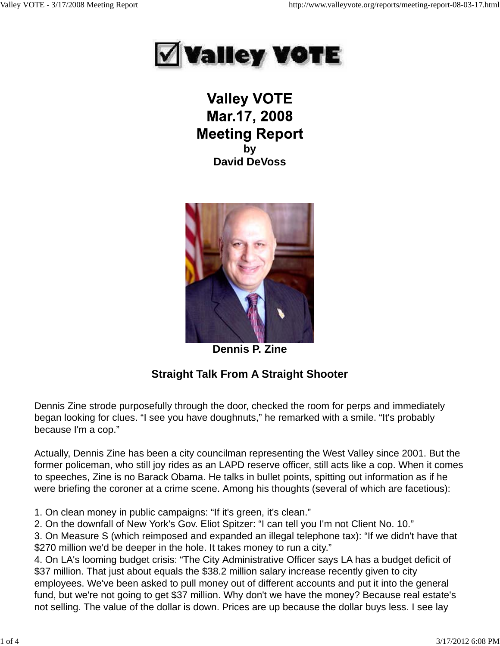

**Valley VOTE** Mar.17, 2008 **Meeting Report by David DeVoss**



**Dennis P. Zine**

# **Straight Talk From A Straight Shooter**

Dennis Zine strode purposefully through the door, checked the room for perps and immediately began looking for clues. "I see you have doughnuts," he remarked with a smile. "It's probably because I'm a cop."

Actually, Dennis Zine has been a city councilman representing the West Valley since 2001. But the former policeman, who still joy rides as an LAPD reserve officer, still acts like a cop. When it comes to speeches, Zine is no Barack Obama. He talks in bullet points, spitting out information as if he were briefing the coroner at a crime scene. Among his thoughts (several of which are facetious):

1. On clean money in public campaigns: "If it's green, it's clean."

2. On the downfall of New York's Gov. Eliot Spitzer: "I can tell you I'm not Client No. 10."

3. On Measure S (which reimposed and expanded an illegal telephone tax): "If we didn't have that \$270 million we'd be deeper in the hole. It takes money to run a city."

4. On LA's looming budget crisis: "The City Administrative Officer says LA has a budget deficit of \$37 million. That just about equals the \$38.2 million salary increase recently given to city employees. We've been asked to pull money out of different accounts and put it into the general fund, but we're not going to get \$37 million. Why don't we have the money? Because real estate's not selling. The value of the dollar is down. Prices are up because the dollar buys less. I see lay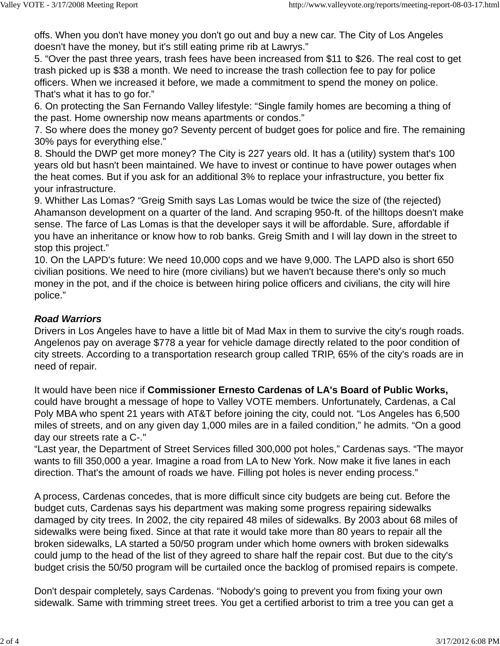offs. When you don't have money you don't go out and buy a new car. The City of Los Angeles doesn't have the money, but it's still eating prime rib at Lawrys."

5. "Over the past three years, trash fees have been increased from \$11 to \$26. The real cost to get trash picked up is \$38 a month. We need to increase the trash collection fee to pay for police officers. When we increased it before, we made a commitment to spend the money on police. That's what it has to go for."

6. On protecting the San Fernando Valley lifestyle: "Single family homes are becoming a thing of the past. Home ownership now means apartments or condos."

7. So where does the money go? Seventy percent of budget goes for police and fire. The remaining 30% pays for everything else."

8. Should the DWP get more money? The City is 227 years old. It has a (utility) system that's 100 years old but hasn't been maintained. We have to invest or continue to have power outages when the heat comes. But if you ask for an additional 3% to replace your infrastructure, you better fix your infrastructure.

9. Whither Las Lomas? "Greig Smith says Las Lomas would be twice the size of (the rejected) Ahamanson development on a quarter of the land. And scraping 950-ft. of the hilltops doesn't make sense. The farce of Las Lomas is that the developer says it will be affordable. Sure, affordable if you have an inheritance or know how to rob banks. Greig Smith and I will lay down in the street to stop this project."

10. On the LAPD's future: We need 10,000 cops and we have 9,000. The LAPD also is short 650 civilian positions. We need to hire (more civilians) but we haven't because there's only so much money in the pot, and if the choice is between hiring police officers and civilians, the city will hire police."

## *Road Warriors*

Drivers in Los Angeles have to have a little bit of Mad Max in them to survive the city's rough roads. Angelenos pay on average \$778 a year for vehicle damage directly related to the poor condition of city streets. According to a transportation research group called TRIP, 65% of the city's roads are in need of repair.

It would have been nice if **Commissioner Ernesto Cardenas of LA's Board of Public Works,** could have brought a message of hope to Valley VOTE members. Unfortunately, Cardenas, a Cal Poly MBA who spent 21 years with AT&T before joining the city, could not. "Los Angeles has 6,500 miles of streets, and on any given day 1,000 miles are in a failed condition," he admits. "On a good day our streets rate a C-."

"Last year, the Department of Street Services filled 300,000 pot holes," Cardenas says. "The mayor wants to fill 350,000 a year. Imagine a road from LA to New York. Now make it five lanes in each direction. That's the amount of roads we have. Filling pot holes is never ending process."

A process, Cardenas concedes, that is more difficult since city budgets are being cut. Before the budget cuts, Cardenas says his department was making some progress repairing sidewalks damaged by city trees. In 2002, the city repaired 48 miles of sidewalks. By 2003 about 68 miles of sidewalks were being fixed. Since at that rate it would take more than 80 years to repair all the broken sidewalks, LA started a 50/50 program under which home owners with broken sidewalks could jump to the head of the list of they agreed to share half the repair cost. But due to the city's budget crisis the 50/50 program will be curtailed once the backlog of promised repairs is compete.

Don't despair completely, says Cardenas. "Nobody's going to prevent you from fixing your own sidewalk. Same with trimming street trees. You get a certified arborist to trim a tree you can get a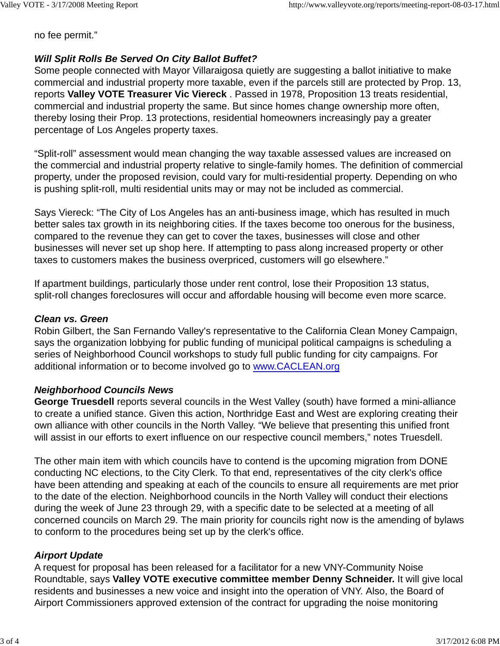no fee permit."

## *Will Split Rolls Be Served On City Ballot Buffet?*

Some people connected with Mayor Villaraigosa quietly are suggesting a ballot initiative to make commercial and industrial property more taxable, even if the parcels still are protected by Prop. 13, reports **Valley VOTE Treasurer Vic Viereck** . Passed in 1978, Proposition 13 treats residential, commercial and industrial property the same. But since homes change ownership more often, thereby losing their Prop. 13 protections, residential homeowners increasingly pay a greater percentage of Los Angeles property taxes.

"Split-roll" assessment would mean changing the way taxable assessed values are increased on the commercial and industrial property relative to single-family homes. The definition of commercial property, under the proposed revision, could vary for multi-residential property. Depending on who is pushing split-roll, multi residential units may or may not be included as commercial.

Says Viereck: "The City of Los Angeles has an anti-business image, which has resulted in much better sales tax growth in its neighboring cities. If the taxes become too onerous for the business, compared to the revenue they can get to cover the taxes, businesses will close and other businesses will never set up shop here. If attempting to pass along increased property or other taxes to customers makes the business overpriced, customers will go elsewhere."

If apartment buildings, particularly those under rent control, lose their Proposition 13 status, split-roll changes foreclosures will occur and affordable housing will become even more scarce.

#### *Clean vs. Green*

Robin Gilbert, the San Fernando Valley's representative to the California Clean Money Campaign, says the organization lobbying for public funding of municipal political campaigns is scheduling a series of Neighborhood Council workshops to study full public funding for city campaigns. For additional information or to become involved go to www.CACLEAN.org

## *Neighborhood Councils News*

**George Truesdell** reports several councils in the West Valley (south) have formed a mini-alliance to create a unified stance. Given this action, Northridge East and West are exploring creating their own alliance with other councils in the North Valley. "We believe that presenting this unified front will assist in our efforts to exert influence on our respective council members," notes Truesdell.

The other main item with which councils have to contend is the upcoming migration from DONE conducting NC elections, to the City Clerk. To that end, representatives of the city clerk's office have been attending and speaking at each of the councils to ensure all requirements are met prior to the date of the election. Neighborhood councils in the North Valley will conduct their elections during the week of June 23 through 29, with a specific date to be selected at a meeting of all concerned councils on March 29. The main priority for councils right now is the amending of bylaws to conform to the procedures being set up by the clerk's office.

## *Airport Update*

A request for proposal has been released for a facilitator for a new VNY-Community Noise Roundtable, says **Valley VOTE executive committee member Denny Schneider.** It will give local residents and businesses a new voice and insight into the operation of VNY. Also, the Board of Airport Commissioners approved extension of the contract for upgrading the noise monitoring